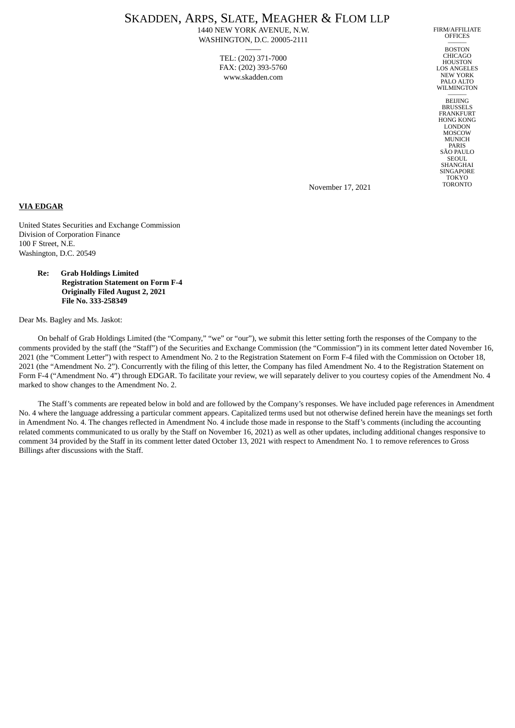# SKADDEN, ARPS, SLATE, MEAGHER & FLOM LLP

1440 NEW YORK AVENUE, N.W. WASHINGTON, D.C. 20005-2111 ——

> TEL: (202) 371-7000 FAX: (202) 393-5760 www.skadden.com

FIRM/AFFILIATE **OFFICES** ———

**BOSTON** CHICAGO **HOUSTON** LOS ANGELES NEW YORK PALO ALTO **WILMINGTON** 

——— BEIJING BRUSSELS FRANKFURT HONG KONG LONDON MOSCOW MUNICH PARIS SÃO PAULO SEOUL. **SHANGHAI** SINGAPORE TOKYO TORONTO

November 17, 2021

## **VIA EDGAR**

United States Securities and Exchange Commission Division of Corporation Finance 100 F Street, N.E. Washington, D.C. 20549

#### **Re: Grab Holdings Limited Registration Statement on Form F-4 Originally Filed August 2, 2021 File No. 333-258349**

Dear Ms. Bagley and Ms. Jaskot:

On behalf of Grab Holdings Limited (the "Company," "we" or "our"), we submit this letter setting forth the responses of the Company to the comments provided by the staff (the "Staff") of the Securities and Exchange Commission (the "Commission") in its comment letter dated November 16, 2021 (the "Comment Letter") with respect to Amendment No. 2 to the Registration Statement on Form F-4 filed with the Commission on October 18, 2021 (the "Amendment No. 2"). Concurrently with the filing of this letter, the Company has filed Amendment No. 4 to the Registration Statement on Form F-4 ("Amendment No. 4") through EDGAR. To facilitate your review, we will separately deliver to you courtesy copies of the Amendment No. 4 marked to show changes to the Amendment No. 2.

The Staff's comments are repeated below in bold and are followed by the Company's responses. We have included page references in Amendment No. 4 where the language addressing a particular comment appears. Capitalized terms used but not otherwise defined herein have the meanings set forth in Amendment No. 4. The changes reflected in Amendment No. 4 include those made in response to the Staff's comments (including the accounting related comments communicated to us orally by the Staff on November 16, 2021) as well as other updates, including additional changes responsive to comment 34 provided by the Staff in its comment letter dated October 13, 2021 with respect to Amendment No. 1 to remove references to Gross Billings after discussions with the Staff.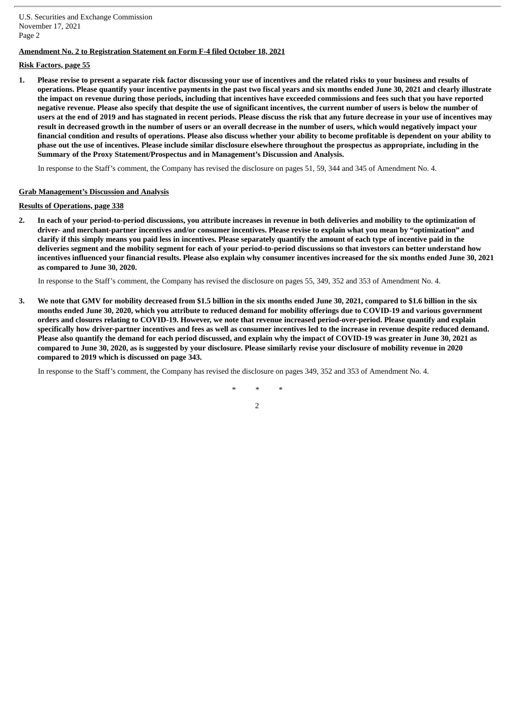U.S. Securities and Exchange Commission November 17, 2021 Page 2

### **Amendment No. 2 to Registration Statement on Form F-4 filed October 18, 2021**

## **Risk Factors, page 55**

1. Please revise to present a separate risk factor discussing your use of incentives and the related risks to your business and results of operations. Please quantify your incentive payments in the past two fiscal years and six months ended June 30, 2021 and clearly illustrate the impact on revenue during those periods, including that incentives have exceeded commissions and fees such that you have reported negative revenue. Please also specify that despite the use of significant incentives, the current number of users is below the number of users at the end of 2019 and has stagnated in recent periods. Please discuss the risk that any future decrease in your use of incentives may result in decreased growth in the number of users or an overall decrease in the number of users, which would negatively impact your financial condition and results of operations. Please also discuss whether your ability to become profitable is dependent on your ability to phase out the use of incentives. Please include similar disclosure elsewhere throughout the prospectus as appropriate, including in the **Summary of the Proxy Statement/Prospectus and in Management's Discussion and Analysis.**

In response to the Staff's comment, the Company has revised the disclosure on pages 51, 59, 344 and 345 of Amendment No. 4.

#### **Grab Management's Discussion and Analysis**

# **Results of Operations, page 338**

2. In each of your period-to-period discussions, you attribute increases in revenue in both deliveries and mobility to the optimization of driver- and merchant-partner incentives and/or consumer incentives. Please revise to explain what you mean by "optimization" and clarify if this simply means you paid less in incentives. Please separately quantify the amount of each type of incentive paid in the deliveries segment and the mobility segment for each of your period-to-period discussions so that investors can better understand how incentives influenced your financial results. Please also explain why consumer incentives increased for the six months ended June 30, 2021 **as compared to June 30, 2020.**

In response to the Staff's comment, the Company has revised the disclosure on pages 55, 349, 352 and 353 of Amendment No. 4.

3. We note that GMV for mobility decreased from \$1.5 billion in the six months ended June 30, 2021, compared to \$1.6 billion in the six months ended June 30, 2020, which you attribute to reduced demand for mobility offerings due to COVID-19 and various government orders and closures relating to COVID-19. However, we note that revenue increased period-over-period. Please quantify and explain specifically how driver-partner incentives and fees as well as consumer incentives led to the increase in revenue despite reduced demand. Please also quantify the demand for each period discussed, and explain why the impact of COVID-19 was greater in June 30, 2021 as compared to June 30, 2020, as is suggested by your disclosure. Please similarly revise your disclosure of mobility revenue in 2020 **compared to 2019 which is discussed on page 343.**

In response to the Staff's comment, the Company has revised the disclosure on pages 349, 352 and 353 of Amendment No. 4.

*\* \* \**

2